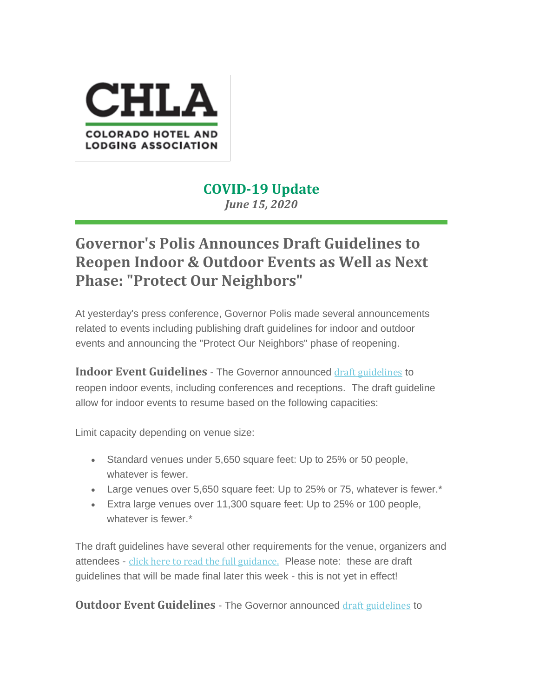

## **COVID-19 Update** *June 15, 2020*

## **Governor's Polis Announces Draft Guidelines to Reopen Indoor & Outdoor Events as Well as Next Phase: "Protect Our Neighbors"**

At yesterday's press conference, Governor Polis made several announcements related to events including publishing draft guidelines for indoor and outdoor events and announcing the "Protect Our Neighbors" phase of reopening.

**Indoor Event Guidelines** - The Governor announced draft [guidelines](https://coloradolodging.us10.list-manage.com/track/click?u=754e28d21d71fbac7aeff306b&id=48e6705fd4&e=7b89fc615c) to reopen indoor events, including conferences and receptions. The draft guideline allow for indoor events to resume based on the following capacities:

Limit capacity depending on venue size:

- Standard venues under 5,650 square feet: Up to 25% or 50 people, whatever is fewer.
- Large venues over 5,650 square feet: Up to 25% or 75, whatever is fewer.<sup>\*</sup>
- Extra large venues over 11,300 square feet: Up to 25% or 100 people, whatever is fewer.\*

The draft guidelines have several other requirements for the venue, organizers and attendees - click here to read the full [guidance.](https://coloradolodging.us10.list-manage.com/track/click?u=754e28d21d71fbac7aeff306b&id=2ffa6d791a&e=7b89fc615c) Please note: these are draft guidelines that will be made final later this week - this is not yet in effect!

**Outdoor Event Guidelines** - The Governor announced draft [guidelines](https://coloradolodging.us10.list-manage.com/track/click?u=754e28d21d71fbac7aeff306b&id=bb444f99f7&e=7b89fc615c) to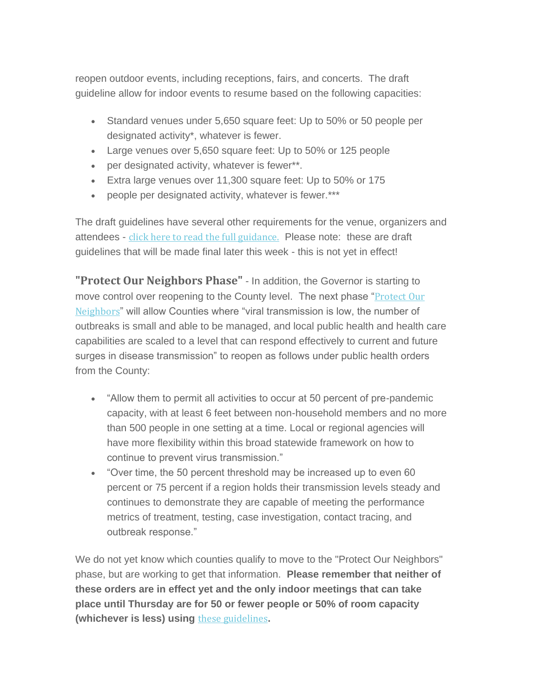reopen outdoor events, including receptions, fairs, and concerts. The draft guideline allow for indoor events to resume based on the following capacities:

- Standard venues under 5,650 square feet: Up to 50% or 50 people per designated activity\*, whatever is fewer.
- Large venues over 5,650 square feet: Up to 50% or 125 people
- per designated activity, whatever is fewer\*\*.
- Extra large venues over 11,300 square feet: Up to 50% or 175
- people per designated activity, whatever is fewer.\*\*\*

The draft guidelines have several other requirements for the venue, organizers and attendees - click here to read the full [guidance.](https://coloradolodging.us10.list-manage.com/track/click?u=754e28d21d71fbac7aeff306b&id=c840415ddd&e=7b89fc615c) Please note: these are draft guidelines that will be made final later this week - this is not yet in effect!

**"Protect Our Neighbors Phase"** - In addition, the Governor is starting to move control over reopening to the County level. The next phase "[Protect](https://coloradolodging.us10.list-manage.com/track/click?u=754e28d21d71fbac7aeff306b&id=bc7d387818&e=7b89fc615c) Our [Neighbors](https://coloradolodging.us10.list-manage.com/track/click?u=754e28d21d71fbac7aeff306b&id=bc7d387818&e=7b89fc615c)" will allow Counties where "viral transmission is low, the number of outbreaks is small and able to be managed, and local public health and health care capabilities are scaled to a level that can respond effectively to current and future surges in disease transmission" to reopen as follows under public health orders from the County:

- "Allow them to permit all activities to occur at 50 percent of pre-pandemic capacity, with at least 6 feet between non-household members and no more than 500 people in one setting at a time. Local or regional agencies will have more flexibility within this broad statewide framework on how to continue to prevent virus transmission."
- "Over time, the 50 percent threshold may be increased up to even 60 percent or 75 percent if a region holds their transmission levels steady and continues to demonstrate they are capable of meeting the performance metrics of treatment, testing, case investigation, contact tracing, and outbreak response."

We do not yet know which counties qualify to move to the "Protect Our Neighbors" phase, but are working to get that information. **Please remember that neither of these orders are in effect yet and the only indoor meetings that can take place until Thursday are for 50 or fewer people or 50% of room capacity (whichever is less) using** these [guidelines](https://coloradolodging.us10.list-manage.com/track/click?u=754e28d21d71fbac7aeff306b&id=310cc6dac2&e=7b89fc615c)**.**